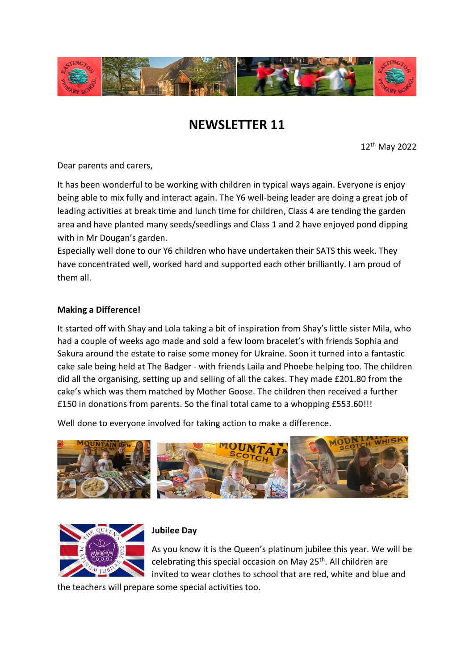

# **NEWSLETTER 11**

12th May 2022

Dear parents and carers,

It has been wonderful to be working with children in typical ways again. Everyone is enjoy being able to mix fully and interact again. The Y6 well-being leader are doing a great job of leading activities at break time and lunch time for children, Class 4 are tending the garden area and have planted many seeds/seedlings and Class 1 and 2 have enjoyed pond dipping with in Mr Dougan's garden.

Especially well done to our Y6 children who have undertaken their SATS this week. They have concentrated well, worked hard and supported each other brilliantly. I am proud of them all.

## **Making a Difference!**

It started off with Shay and Lola taking a bit of inspiration from Shay's little sister Mila, who had a couple of weeks ago made and sold a few loom bracelet's with friends Sophia and Sakura around the estate to raise some money for Ukraine. Soon it turned into a fantastic cake sale being held at The Badger - with friends Laila and Phoebe helping too. The children did all the organising, setting up and selling of all the cakes. They made £201.80 from the cake's which was them matched by Mother Goose. The children then received a further £150 in donations from parents. So the final total came to a whopping £553.60!!!

Well done to everyone involved for taking action to make a difference.





## **Jubilee Day**

As you know it is the Queen's platinum jubilee this year. We will be celebrating this special occasion on May 25<sup>th</sup>. All children are invited to wear clothes to school that are red, white and blue and

the teachers will prepare some special activities too.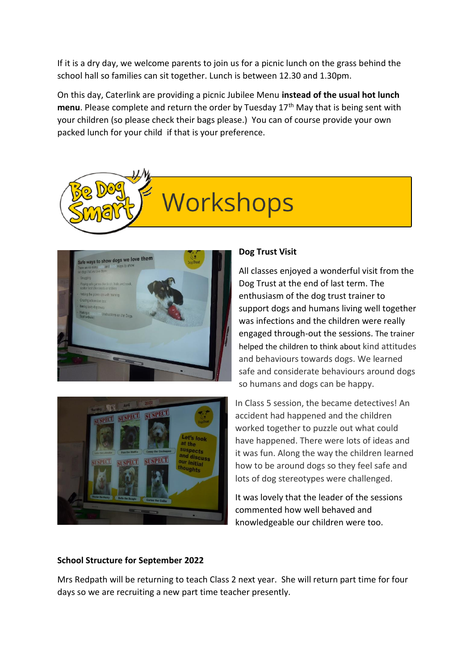If it is a dry day, we welcome parents to join us for a picnic lunch on the grass behind the school hall so families can sit together. Lunch is between 12.30 and 1.30pm.

On this day, Caterlink are providing a picnic Jubilee Menu **instead of the usual hot lunch**  menu. Please complete and return the order by Tuesday 17<sup>th</sup> May that is being sent with your children (so please check their bags please.) You can of course provide your own packed lunch for your child if that is your preference.







## **Dog Trust Visit**

All classes enjoyed a wonderful visit from the Dog Trust at the end of last term. The enthusiasm of the dog trust trainer to support dogs and humans living well together was infections and the children were really engaged through-out the sessions. The trainer helped the children to think about kind attitudes and behaviours towards dogs. We learned safe and considerate behaviours around dogs so humans and dogs can be happy.

In Class 5 session, the became detectives! An accident had happened and the children worked together to puzzle out what could have happened. There were lots of ideas and it was fun. Along the way the children learned how to be around dogs so they feel safe and lots of dog stereotypes were challenged.

It was lovely that the leader of the sessions commented how well behaved and knowledgeable our children were too.

## **School Structure for September 2022**

Mrs Redpath will be returning to teach Class 2 next year. She will return part time for four days so we are recruiting a new part time teacher presently.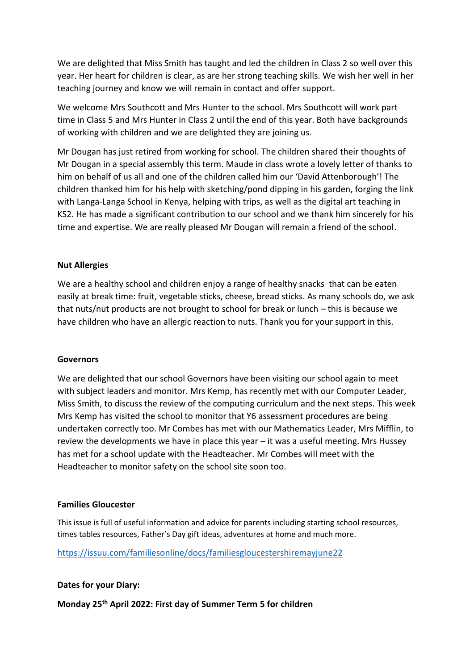We are delighted that Miss Smith has taught and led the children in Class 2 so well over this year. Her heart for children is clear, as are her strong teaching skills. We wish her well in her teaching journey and know we will remain in contact and offer support.

We welcome Mrs Southcott and Mrs Hunter to the school. Mrs Southcott will work part time in Class 5 and Mrs Hunter in Class 2 until the end of this year. Both have backgrounds of working with children and we are delighted they are joining us.

Mr Dougan has just retired from working for school. The children shared their thoughts of Mr Dougan in a special assembly this term. Maude in class wrote a lovely letter of thanks to him on behalf of us all and one of the children called him our 'David Attenborough'! The children thanked him for his help with sketching/pond dipping in his garden, forging the link with Langa-Langa School in Kenya, helping with trips, as well as the digital art teaching in KS2. He has made a significant contribution to our school and we thank him sincerely for his time and expertise. We are really pleased Mr Dougan will remain a friend of the school.

#### **Nut Allergies**

We are a healthy school and children enjoy a range of healthy snacks that can be eaten easily at break time: fruit, vegetable sticks, cheese, bread sticks. As many schools do, we ask that nuts/nut products are not brought to school for break or lunch – this is because we have children who have an allergic reaction to nuts. Thank you for your support in this.

#### **Governors**

We are delighted that our school Governors have been visiting our school again to meet with subject leaders and monitor. Mrs Kemp, has recently met with our Computer Leader, Miss Smith, to discuss the review of the computing curriculum and the next steps. This week Mrs Kemp has visited the school to monitor that Y6 assessment procedures are being undertaken correctly too. Mr Combes has met with our Mathematics Leader, Mrs Mifflin, to review the developments we have in place this year – it was a useful meeting. Mrs Hussey has met for a school update with the Headteacher. Mr Combes will meet with the Headteacher to monitor safety on the school site soon too.

#### **Families Gloucester**

This issue is full of useful information and advice for parents including starting school resources, times tables resources, Father's Day gift ideas, adventures at home and much more.

<https://issuu.com/familiesonline/docs/familiesgloucestershiremayjune22>

#### **Dates for your Diary:**

**Monday 25th April 2022: First day of Summer Term 5 for children**